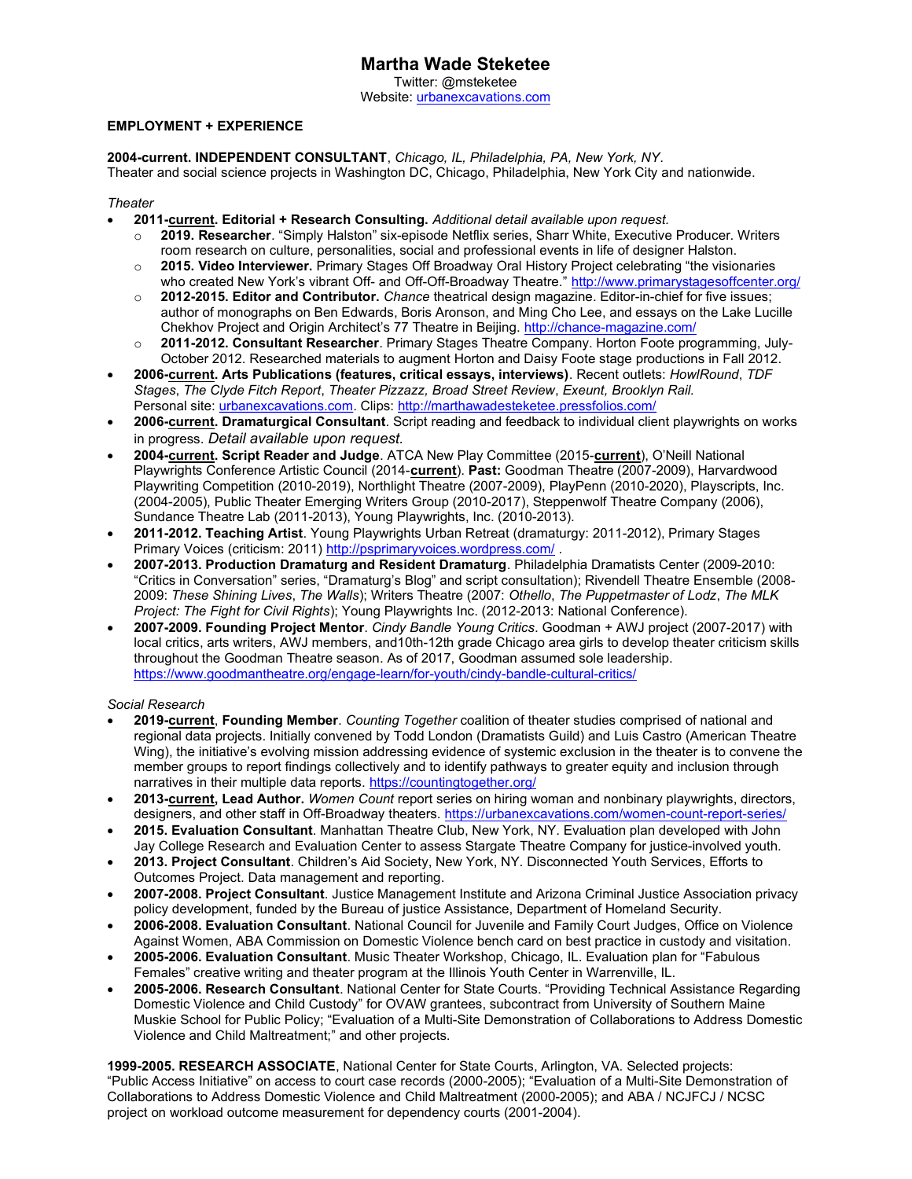## Martha Wade Steketee Twitter: @msteketee Website: urbanexcavations.com

### EMPLOYMENT + EXPERIENCE

2004-current. INDEPENDENT CONSULTANT, Chicago, IL, Philadelphia, PA, New York, NY.

Theater and social science projects in Washington DC, Chicago, Philadelphia, New York City and nationwide.

#### **Theater**

- 2011-current. Editorial + Research Consulting. Additional detail available upon request.
	- o 2019. Researcher. "Simply Halston" six-episode Netflix series, Sharr White, Executive Producer. Writers room research on culture, personalities, social and professional events in life of designer Halston.
	- o 2015. Video Interviewer. Primary Stages Off Broadway Oral History Project celebrating "the visionaries who created New York's vibrant Off- and Off-Off-Broadway Theatre." http://www.primarystagesoffcenter.org/
	- o 2012-2015. Editor and Contributor. Chance theatrical design magazine. Editor-in-chief for five issues; author of monographs on Ben Edwards, Boris Aronson, and Ming Cho Lee, and essays on the Lake Lucille Chekhov Project and Origin Architect's 77 Theatre in Beijing. http://chance-magazine.com/
	- o 2011-2012. Consultant Researcher. Primary Stages Theatre Company. Horton Foote programming, July-October 2012. Researched materials to augment Horton and Daisy Foote stage productions in Fall 2012.
- 2006-current. Arts Publications (features, critical essays, interviews). Recent outlets: HowlRound, TDF Stages, The Clyde Fitch Report, Theater Pizzazz, Broad Street Review, Exeunt, Brooklyn Rail. Personal site: urbanexcavations.com. Clips: http://marthawadesteketee.pressfolios.com/
- 2006-current. Dramaturgical Consultant. Script reading and feedback to individual client playwrights on works in progress. Detail available upon request.
- 2004-current. Script Reader and Judge. ATCA New Play Committee (2015-current), O'Neill National Playwrights Conference Artistic Council (2014-current). Past: Goodman Theatre (2007-2009), Harvardwood Playwriting Competition (2010-2019), Northlight Theatre (2007-2009), PlayPenn (2010-2020), Playscripts, Inc. (2004-2005), Public Theater Emerging Writers Group (2010-2017), Steppenwolf Theatre Company (2006), Sundance Theatre Lab (2011-2013), Young Playwrights, Inc. (2010-2013).
- 2011-2012. Teaching Artist. Young Playwrights Urban Retreat (dramaturgy: 2011-2012), Primary Stages Primary Voices (criticism: 2011) http://psprimaryvoices.wordpress.com/.
- 2007-2013. Production Dramaturg and Resident Dramaturg. Philadelphia Dramatists Center (2009-2010: "Critics in Conversation" series, "Dramaturg's Blog" and script consultation); Rivendell Theatre Ensemble (2008- 2009: These Shining Lives, The Walls); Writers Theatre (2007: Othello, The Puppetmaster of Lodz, The MLK Project: The Fight for Civil Rights); Young Playwrights Inc. (2012-2013: National Conference).
- 2007-2009. Founding Project Mentor. Cindy Bandle Young Critics. Goodman + AWJ project (2007-2017) with local critics, arts writers, AWJ members, and10th-12th grade Chicago area girls to develop theater criticism skills throughout the Goodman Theatre season. As of 2017, Goodman assumed sole leadership. https://www.goodmantheatre.org/engage-learn/for-youth/cindy-bandle-cultural-critics/

## Social Research

- 2019-current, Founding Member. Counting Together coalition of theater studies comprised of national and regional data projects. Initially convened by Todd London (Dramatists Guild) and Luis Castro (American Theatre Wing), the initiative's evolving mission addressing evidence of systemic exclusion in the theater is to convene the member groups to report findings collectively and to identify pathways to greater equity and inclusion through narratives in their multiple data reports. https://countingtogether.org/
- 2013-current, Lead Author. Women Count report series on hiring woman and nonbinary playwrights, directors, designers, and other staff in Off-Broadway theaters. https://urbanexcavations.com/women-count-report-series/
- 2015. Evaluation Consultant. Manhattan Theatre Club, New York, NY. Evaluation plan developed with John Jay College Research and Evaluation Center to assess Stargate Theatre Company for justice-involved youth.
- 2013. Project Consultant. Children's Aid Society, New York, NY. Disconnected Youth Services, Efforts to Outcomes Project. Data management and reporting.
- 2007-2008. Project Consultant. Justice Management Institute and Arizona Criminal Justice Association privacy policy development, funded by the Bureau of justice Assistance, Department of Homeland Security.
- 2006-2008. Evaluation Consultant. National Council for Juvenile and Family Court Judges, Office on Violence Against Women, ABA Commission on Domestic Violence bench card on best practice in custody and visitation.
- 2005-2006. Evaluation Consultant. Music Theater Workshop, Chicago, IL. Evaluation plan for "Fabulous Females" creative writing and theater program at the Illinois Youth Center in Warrenville, IL.
- 2005-2006. Research Consultant. National Center for State Courts. "Providing Technical Assistance Regarding Domestic Violence and Child Custody" for OVAW grantees, subcontract from University of Southern Maine Muskie School for Public Policy; "Evaluation of a Multi-Site Demonstration of Collaborations to Address Domestic Violence and Child Maltreatment;" and other projects.

1999-2005. RESEARCH ASSOCIATE, National Center for State Courts, Arlington, VA. Selected projects: "Public Access Initiative" on access to court case records (2000-2005); "Evaluation of a Multi-Site Demonstration of Collaborations to Address Domestic Violence and Child Maltreatment (2000-2005); and ABA / NCJFCJ / NCSC project on workload outcome measurement for dependency courts (2001-2004).